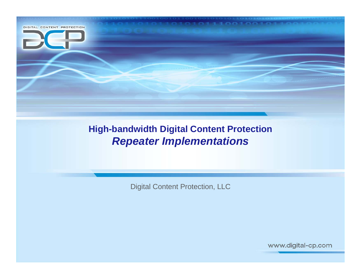

#### **High-bandwidth Digital Content Protection** *Repeater Implementations*

Digital Content Protection, LLC

www.digital-cp.com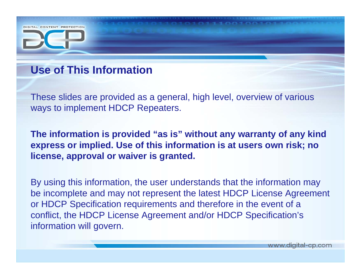## **Use of This Information**

DIGITAL CONTENT PROTECTION

These slides are provided as a general, high level, overview of various ways to implement HDCP Repeaters.

**The information is provided "as is" without any warranty of any kind express or implied. Use of this information is at users own risk; no license, approval or waiver is granted.** 

By using this information, the user understands that the information may be incomplete and may not represent the latest HDCP License Agreement or HDCP Specification requirements and therefore in the event of a conflict, the HDCP License Agreement and/or HDCP Specification's information will govern.

www.digital-cp.com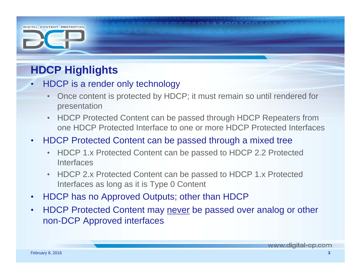# **HDCP Highlights**

DIGITAL CONTENT PROTECTION

- • HDCP is a render only technology
	- • Once content is protected by HDCP; it must remain so until rendered for presentation
	- HDCP Protected Content can be passed through HDCP Repeaters from one HDCP Protected Interface to one or more HDCP Protected Interfaces

#### $\bullet$ HDCP Protected Content can be passed through a mixed tree

- HDCP 1.x Protected Content can be passed to HDCP 2.2 Protected Interfaces
- HDCP 2.x Protected Content can be passed to HDCP 1.x Protected Interfaces as long as it is Type 0 Content
- $\bullet$ HDCP has no Approved Outputs; other than HDCP
- • HDCP Protected Content may never be passed over analog or other non-DCP Approved interfaces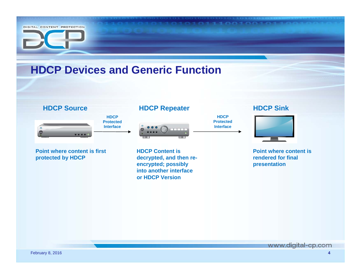

www.digital-cp.com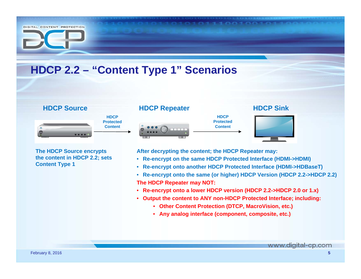# DIGITAL CONTENT PROTECTION **HDCP 2.2 – "Content Type 1" Scenarios HDCP Source HDCP Sink HDCP Repeater HDCP HDCP ProtectedProtectedContentContent**

**The HDCP Source encrypts the content in HDCP 2.2; sets Content Type 1**

**After decrypting the content; the HDCP Repeater may:**

- **Re-encrypt on the same HDCP Protected Interface (HDMI->HDMI)**
- **Re-encrypt onto another HDCP Protected Interface (HDMI->HDBaseT)**
- **Re-encrypt onto the same (or higher) HDCP Version (HDCP 2.2->HDCP 2.2) The HDCP Repeater may NOT:**
- **Re-encrypt onto a lower HDCP version (HDCP 2.2->HDCP 2.0 or 1.x)**
- **Output the content to ANY non-HDCP Protected Interface; including:**
	- **Other Content Protection (DTCP, MacroVision, etc.)**
	- **Any analog interface (component, composite, etc.)**

www.digital-cp.com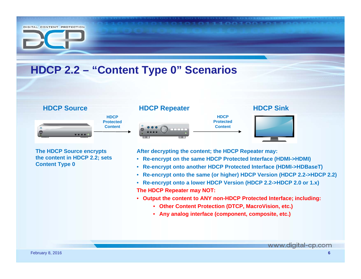#### DIGITAL CONTENT PROTECTION **HDCP 2.2 – "Content Type 0" Scenarios HDCP Source HDCP Sink HDCP Repeater HDCP HDCP ProtectedProtectedContentContentThe HDCP Source encrypts After decrypting the content; the HDCP Repeater may: the content in HDCP 2.2; sets**  • **Re-encrypt on the same HDCP Protected Interface (HDMI->HDMI)**

- **Re-encrypt onto another HDCP Protected Interface (HDMI->HDBaseT)**
- **Re-encrypt onto the same (or higher) HDCP Version (HDCP 2.2->HDCP 2.2)**
- **Re-encrypt onto a lower HDCP Version (HDCP 2.2->HDCP 2.0 or 1.x) The HDCP Repeater may NOT:**
- **Output the content to ANY non-HDCP Protected Interface; including:**
	- **Other Content Protection (DTCP, MacroVision, etc.)**
	- **Any analog interface (component, composite, etc.)**

**Content Type 0**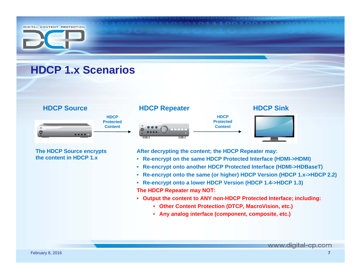



**The HDCP Source encrypts the content in HDCP 1.x**

**After decrypting the content; the HDCP Repeater may:**

- **Re-encrypt on the same HDCP Protected Interface (HDMI->HDMI)**
- **Re-encrypt onto another HDCP Protected Interface (HDMI->HDBaseT)**
- **Re-encrypt onto the same (or higher) HDCP Version (HDCP 1.x->HDCP 2.2)**
- **Re-encrypt onto a lower HDCP Version (HDCP 1.4->HDCP 1.3) The HDCP Repeater may NOT:**
- **Output the content to ANY non-HDCP Protected Interface; including:**
	- **Other Content Protection (DTCP, MacroVision, etc.)**
	- **Any analog interface (component, composite, etc.)**

www.digital-cp.com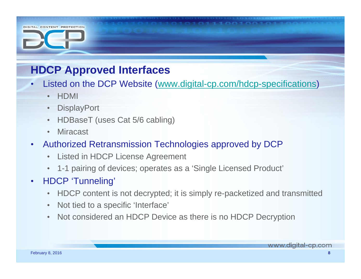## **HDCP Approved Interfaces**

- •• Listed on the DCP Website (www.digital-cp.com/hdcp-specifications)
	- HDMI

DIGITAL CONTENT PROTECTION

- •**DisplayPort**
- •HDBaseT (uses Cat 5/6 cabling)
- •Miracast
- • Authorized Retransmission Technologies approved by DCP
	- •Listed in HDCP License Agreement
	- 1-1 pairing of devices; operates as a 'Single Licensed Product'
- • HDCP 'Tunneling'
	- HDCP content is not decrypted; it is simply re-packetized and transmitted
	- Not tied to a specific 'Interface'
	- Not considered an HDCP Device as there is no HDCP Decryption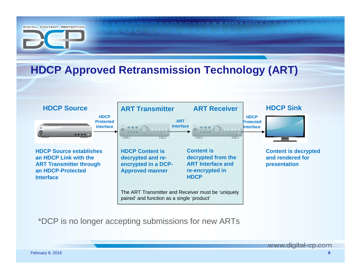

\*DCP is no longer accepting submissions for new ARTs

www.digital-cp.com